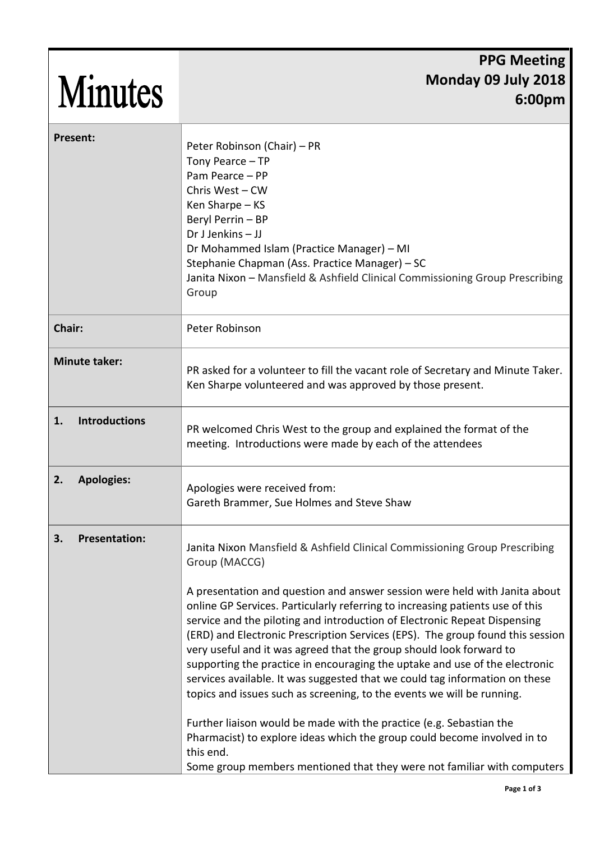| <b>Minutes</b>             | <b>PPG Meeting</b><br>Monday 09 July 2018<br>6:00 <sub>pm</sub>                                                                                                                                                                                                                                                                                                                                                           |
|----------------------------|---------------------------------------------------------------------------------------------------------------------------------------------------------------------------------------------------------------------------------------------------------------------------------------------------------------------------------------------------------------------------------------------------------------------------|
| <b>Present:</b>            | Peter Robinson (Chair) – PR<br>Tony Pearce - TP<br>Pam Pearce - PP<br>Chris West - CW<br>Ken Sharpe - KS<br>Beryl Perrin - BP<br>Dr J Jenkins $-$ JJ<br>Dr Mohammed Islam (Practice Manager) - MI<br>Stephanie Chapman (Ass. Practice Manager) - SC<br>Janita Nixon - Mansfield & Ashfield Clinical Commissioning Group Prescribing<br>Group                                                                              |
| Chair:                     | Peter Robinson                                                                                                                                                                                                                                                                                                                                                                                                            |
| <b>Minute taker:</b>       | PR asked for a volunteer to fill the vacant role of Secretary and Minute Taker.<br>Ken Sharpe volunteered and was approved by those present.                                                                                                                                                                                                                                                                              |
| <b>Introductions</b><br>1. | PR welcomed Chris West to the group and explained the format of the<br>meeting. Introductions were made by each of the attendees                                                                                                                                                                                                                                                                                          |
| <b>Apologies:</b><br>2.    | Apologies were received from:<br>Gareth Brammer, Sue Holmes and Steve Shaw                                                                                                                                                                                                                                                                                                                                                |
| 3.<br><b>Presentation:</b> | Janita Nixon Mansfield & Ashfield Clinical Commissioning Group Prescribing<br>Group (MACCG)<br>A presentation and question and answer session were held with Janita about<br>online GP Services. Particularly referring to increasing patients use of this<br>service and the piloting and introduction of Electronic Repeat Dispensing<br>(ERD) and Electronic Prescription Services (EPS). The group found this session |
|                            | very useful and it was agreed that the group should look forward to<br>supporting the practice in encouraging the uptake and use of the electronic<br>services available. It was suggested that we could tag information on these<br>topics and issues such as screening, to the events we will be running.                                                                                                               |
|                            | Further liaison would be made with the practice (e.g. Sebastian the<br>Pharmacist) to explore ideas which the group could become involved in to<br>this end.<br>Some group members mentioned that they were not familiar with computers                                                                                                                                                                                   |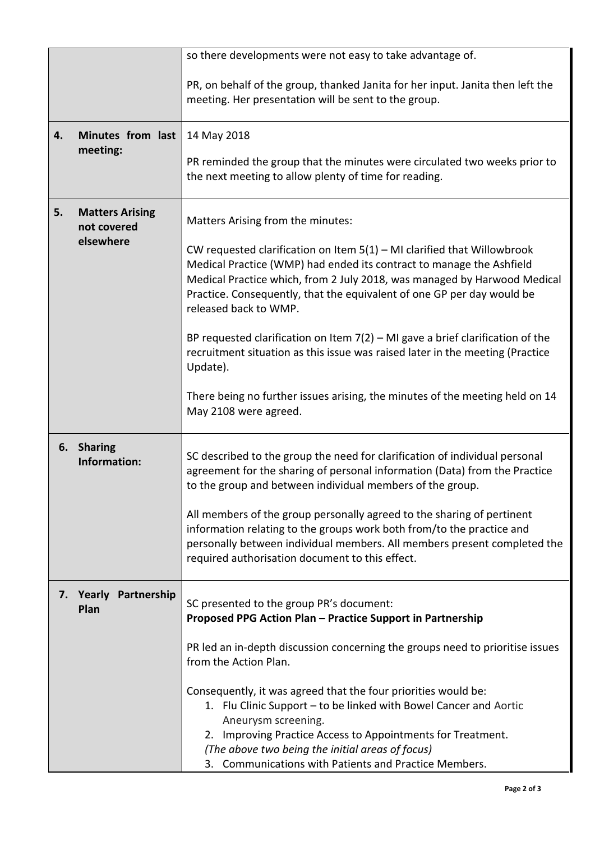|    |                                                    | so there developments were not easy to take advantage of.                                                                                                                                                                                                                                                                              |
|----|----------------------------------------------------|----------------------------------------------------------------------------------------------------------------------------------------------------------------------------------------------------------------------------------------------------------------------------------------------------------------------------------------|
|    |                                                    | PR, on behalf of the group, thanked Janita for her input. Janita then left the<br>meeting. Her presentation will be sent to the group.                                                                                                                                                                                                 |
| 4. | Minutes from last<br>meeting:                      | 14 May 2018                                                                                                                                                                                                                                                                                                                            |
|    |                                                    | PR reminded the group that the minutes were circulated two weeks prior to<br>the next meeting to allow plenty of time for reading.                                                                                                                                                                                                     |
| 5. | <b>Matters Arising</b><br>not covered<br>elsewhere | Matters Arising from the minutes:                                                                                                                                                                                                                                                                                                      |
|    |                                                    | CW requested clarification on Item $5(1)$ – MI clarified that Willowbrook<br>Medical Practice (WMP) had ended its contract to manage the Ashfield<br>Medical Practice which, from 2 July 2018, was managed by Harwood Medical<br>Practice. Consequently, that the equivalent of one GP per day would be<br>released back to WMP.       |
|    |                                                    | BP requested clarification on Item $7(2)$ – MI gave a brief clarification of the<br>recruitment situation as this issue was raised later in the meeting (Practice<br>Update).                                                                                                                                                          |
|    |                                                    | There being no further issues arising, the minutes of the meeting held on 14<br>May 2108 were agreed.                                                                                                                                                                                                                                  |
| 6. | <b>Sharing</b><br>Information:                     | SC described to the group the need for clarification of individual personal<br>agreement for the sharing of personal information (Data) from the Practice<br>to the group and between individual members of the group.                                                                                                                 |
|    |                                                    | All members of the group personally agreed to the sharing of pertinent<br>information relating to the groups work both from/to the practice and<br>personally between individual members. All members present completed the<br>required authorisation document to this effect.                                                         |
|    | 7. Yearly Partnership<br>Plan                      | SC presented to the group PR's document:<br>Proposed PPG Action Plan - Practice Support in Partnership                                                                                                                                                                                                                                 |
|    |                                                    | PR led an in-depth discussion concerning the groups need to prioritise issues<br>from the Action Plan.                                                                                                                                                                                                                                 |
|    |                                                    | Consequently, it was agreed that the four priorities would be:<br>1. Flu Clinic Support - to be linked with Bowel Cancer and Aortic<br>Aneurysm screening.<br>2. Improving Practice Access to Appointments for Treatment.<br>(The above two being the initial areas of focus)<br>3. Communications with Patients and Practice Members. |